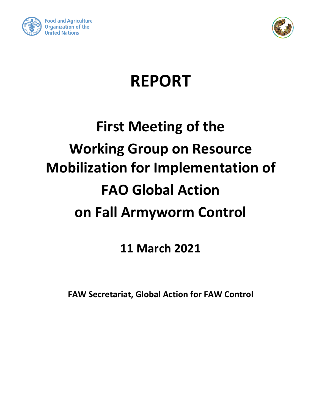



## **REPORT**

# **First Meeting of the Working Group on Resource Mobilization for Implementation of FAO Global Action on Fall Armyworm Control**

**11 March 2021**

**FAW Secretariat, Global Action for FAW Control**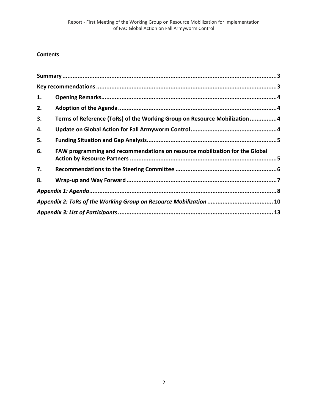## **Contents**

| 1. |                                                                             |  |  |
|----|-----------------------------------------------------------------------------|--|--|
| 2. |                                                                             |  |  |
| 3. | Terms of Reference (ToRs) of the Working Group on Resource Mobilization 4   |  |  |
| 4. |                                                                             |  |  |
| 5. |                                                                             |  |  |
| 6. | FAW programming and recommendations on resource mobilization for the Global |  |  |
| 7. |                                                                             |  |  |
| 8. |                                                                             |  |  |
|    |                                                                             |  |  |
|    |                                                                             |  |  |
|    |                                                                             |  |  |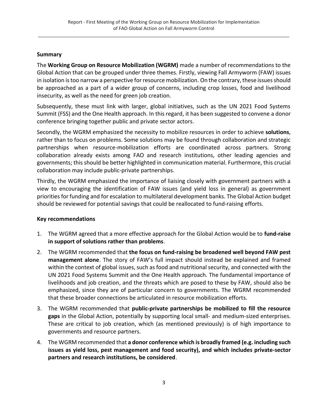#### <span id="page-2-0"></span>**Summary**

The **Working Group on Resource Mobilization (WGRM)** made a number of recommendations to the Global Action that can be grouped under three themes. Firstly, viewing Fall Armyworm (FAW) issues in isolation is too narrow a perspective for resource mobilization. On the contrary, these issues should be approached as a part of a wider group of concerns, including crop losses, food and livelihood insecurity, as well as the need for green job creation.

Subsequently, these must link with larger, global initiatives, such as the UN 2021 Food Systems Summit (FSS) and the One Health approach. In this regard, it has been suggested to convene a donor conference bringing together public and private sector actors.

Secondly, the WGRM emphasized the necessity to mobilize resources in order to achieve **solutions**, rather than to focus on problems. Some solutions may be found through collaboration and strategic partnerships when resource-mobilization efforts are coordinated across partners. Strong collaboration already exists among FAO and research institutions, other leading agencies and governments; this should be better highlighted in communication material. Furthermore, this crucial collaboration may include public-private partnerships.

Thirdly, the WGRM emphasized the importance of liaising closely with government partners with a view to encouraging the identification of FAW issues (and yield loss in general) as government priorities for funding and for escalation to multilateral development banks. The Global Action budget should be reviewed for potential savings that could be reallocated to fund-raising efforts.

## <span id="page-2-1"></span>**Key recommendations**

- 1. The WGRM agreed that a more effective approach for the Global Action would be to **fund-raise in support of solutions rather than problems**.
- 2. The WGRM recommended that **the focus on fund-raising be broadened well beyond FAW pest management alone**. The story of FAW's full impact should instead be explained and framed within the context of global issues, such as food and nutritional security, and connected with the UN 2021 Food Systems Summit and the One Health approach. The fundamental importance of livelihoods and job creation, and the threats which are posed to these by FAW, should also be emphasized, since they are of particular concern to governments. The WGRM recommended that these broader connections be articulated in resource mobilization efforts.
- 3. The WGRM recommended that **public-private partnerships be mobilized to fill the resource gaps** in the Global Action, potentially by supporting local small- and medium-sized enterprises. These are critical to job creation, which (as mentioned previously) is of high importance to governments and resource partners.
- 4. The WGRM recommended that **a donor conference which is broadly framed (e.g. including such issues as yield loss, pest management and food security), and which includes private-sector partners and research institutions, be considered**.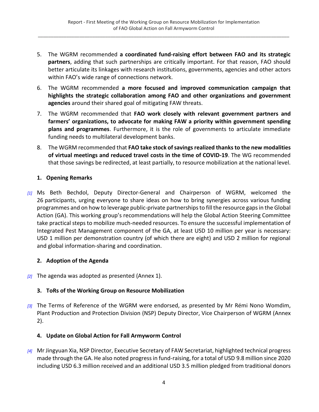- 5. The WGRM recommended **a coordinated fund-raising effort between FAO and its strategic partners**, adding that such partnerships are critically important. For that reason, FAO should better articulate its linkages with research institutions, governments, agencies and other actors within FAO's wide range of connections network.
- 6. The WGRM recommended **a more focused and improved communication campaign that highlights the strategic collaboration among FAO and other organizations and government agencies** around their shared goal of mitigating FAW threats.
- 7. The WGRM recommended that **FAO work closely with relevant government partners and farmers' organizations, to advocate for making FAW a priority within government spending plans and programmes**. Furthermore, it is the role of governments to articulate immediate funding needs to multilateral development banks.
- 8. The WGRM recommended that **FAO take stock of savings realized thanks to the new modalities of virtual meetings and reduced travel costs in the time of COVID-19**. The WG recommended that those savings be redirected, at least partially, to resource mobilization at the national level.

## <span id="page-3-0"></span>**1. Opening Remarks**

*[1]* Ms Beth Bechdol, Deputy Director-General and Chairperson of WGRM, welcomed the 26 participants, urging everyone to share ideas on how to bring synergies across various funding programmes and on how to leverage public-private partnerships to fill the resource gaps in the Global Action (GA). This working group's recommendations will help the Global Action Steering Committee take practical steps to mobilize much-needed resources. To ensure the successful implementation of Integrated Pest Management component of the GA, at least USD 10 million per year is necessary: USD 1 million per demonstration country (of which there are eight) and USD 2 million for regional and global information-sharing and coordination.

## <span id="page-3-1"></span>**2. Adoption of the Agenda**

*[2]* The agenda was adopted as presented (Annex 1).

## <span id="page-3-2"></span>**3. ToRs of the Working Group on Resource Mobilization**

*[3]* The Terms of Reference of the WGRM were endorsed, as presented by Mr Rémi Nono Womdim, Plant Production and Protection Division (NSP) Deputy Director, Vice Chairperson of WGRM (Annex 2).

## <span id="page-3-3"></span>**4. Update on Global Action for Fall Armyworm Control**

*[4]* Mr Jingyuan Xia, NSP Director, Executive Secretary of FAW Secretariat, highlighted technical progress made through the GA. He also noted progress in fund-raising, for a total of USD 9.8 million since 2020 including USD 6.3 million received and an additional USD 3.5 million pledged from traditional donors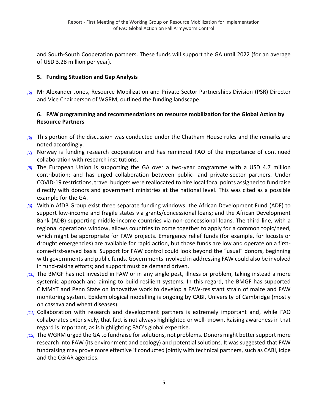and South-South Cooperation partners. These funds will support the GA until 2022 (for an average of USD 3.28 million per year).

## <span id="page-4-0"></span>**5. Funding Situation and Gap Analysis**

*[5]* Mr Alexander Jones, Resource Mobilization and Private Sector Partnerships Division (PSR) Director and Vice Chairperson of WGRM, outlined the funding landscape.

## <span id="page-4-1"></span>**6. FAW programming and recommendations on resource mobilization for the Global Action by Resource Partners**

- *[6]* This portion of the discussion was conducted under the Chatham House rules and the remarks are noted accordingly.
- *[7]* Norway is funding research cooperation and has reminded FAO of the importance of continued collaboration with research institutions.
- *[8]* The European Union is supporting the GA over a two-year programme with a USD 4.7 million contribution; and has urged collaboration between public- and private-sector partners. Under COVID-19 restrictions, travel budgets were reallocated to hire local focal points assigned to fundraise directly with donors and government ministries at the national level. This was cited as a possible example for the GA.
- *[9]* Within AfDB Group exist three separate funding windows: the African Development Fund (ADF) to support low-income and fragile states via grants/concessional loans; and the African Development Bank (ADB) supporting middle-income countries via non-concessional loans. The third line, with a regional operations window, allows countries to come together to apply for a common topic/need, which might be appropriate for FAW projects. Emergency relief funds (for example, for locusts or drought emergencies) are available for rapid action, but those funds are low and operate on a firstcome-first-served basis. Support for FAW control could look beyond the "usual" donors, beginning with governments and public funds. Governments involved in addressing FAW could also be involved in fund-raising efforts; and support must be demand driven.
- *[10]* The BMGF has not invested in FAW or in any single pest, illness or problem, taking instead a more systemic approach and aiming to build resilient systems. In this regard, the BMGF has supported CIMMYT and Penn State on innovative work to develop a FAW-resistant strain of maize and FAW monitoring system. Epidemiological modelling is ongoing by CABI, University of Cambridge (mostly on cassava and wheat diseases).
- *[11]* Collaboration with research and development partners is extremely important and, while FAO collaborates extensively, that fact is not always highlighted or well-known. Raising awareness in that regard is important, as is highlighting FAO's global expertise.
- *[12]* The WGRM urged the GA to fundraise for solutions, not problems. Donors might better support more research into FAW (its environment and ecology) and potential solutions. It was suggested that FAW fundraising may prove more effective if conducted jointly with technical partners, such as CABI, icipe and the CGIAR agencies.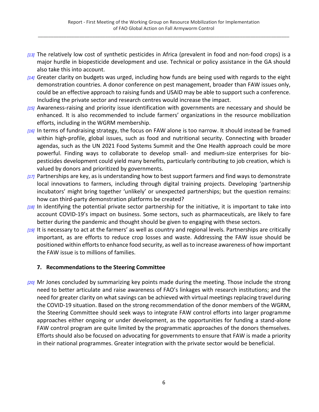- *[13]* The relatively low cost of synthetic pesticides in Africa (prevalent in food and non-food crops) is a major hurdle in biopesticide development and use. Technical or policy assistance in the GA should also take this into account.
- *[14]* Greater clarity on budgets was urged, including how funds are being used with regards to the eight demonstration countries. A donor conference on pest management, broader than FAW issues only, could be an effective approach to raising funds and USAID may be able to support such a conference. Including the private sector and research centres would increase the impact.
- *[15]* Awareness-raising and priority issue identification with governments are necessary and should be enhanced. It is also recommended to include farmers' organizations in the resource mobilization efforts, including in the WGRM membership.
- *[16]* In terms of fundraising strategy, the focus on FAW alone is too narrow. It should instead be framed within high-profile, global issues, such as food and nutritional security. Connecting with broader agendas, such as the UN 2021 Food Systems Summit and the One Health approach could be more powerful. Finding ways to collaborate to develop small- and medium-size enterprises for biopesticides development could yield many benefits, particularly contributing to job creation, which is valued by donors and prioritized by governments.
- *[17]* Partnerships are key, as is understanding how to best support farmers and find ways to demonstrate local innovations to farmers, including through digital training projects. Developing 'partnership incubators' might bring together 'unlikely' or unexpected partnerships; but the question remains: how can third-party demonstration platforms be created?
- *[18]* In identifying the potential private sector partnership for the initiative, it is important to take into account COVID-19's impact on business. Some sectors, such as pharmaceuticals, are likely to fare better during the pandemic and thought should be given to engaging with these sectors.
- *[19]* It is necessary to act at the farmers' as well as country and regional levels. Partnerships are critically important, as are efforts to reduce crop losses and waste. Addressing the FAW issue should be positioned within efforts to enhance food security, as well as to increase awareness of how important the FAW issue is to millions of families.

## <span id="page-5-0"></span>**7. Recommendations to the Steering Committee**

*[20]* Mr Jones concluded by summarizing key points made during the meeting. Those include the strong need to better articulate and raise awareness of FAO's linkages with research institutions; and the need for greater clarity on what savings can be achieved with virtual meetings replacing travel during the COVID-19 situation. Based on the strong recommendation of the donor members of the WGRM, the Steering Committee should seek ways to integrate FAW control efforts into larger programme approaches either ongoing or under development, as the opportunities for funding a stand-alone FAW control program are quite limited by the programmatic approaches of the donors themselves. Efforts should also be focused on advocating for governments to ensure that FAW is made a priority in their national programmes. Greater integration with the private sector would be beneficial.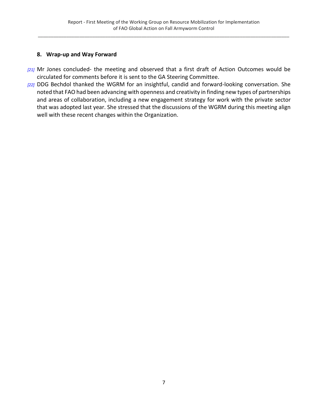#### <span id="page-6-0"></span>**8. Wrap-up and Way Forward**

- *[21]* Mr Jones concluded- the meeting and observed that a first draft of Action Outcomes would be circulated for comments before it is sent to the GA Steering Committee.
- *[22]* DDG Bechdol thanked the WGRM for an insightful, candid and forward-looking conversation. She noted that FAO had been advancing with openness and creativity in finding new types of partnerships and areas of collaboration, including a new engagement strategy for work with the private sector that was adopted last year. She stressed that the discussions of the WGRM during this meeting align well with these recent changes within the Organization.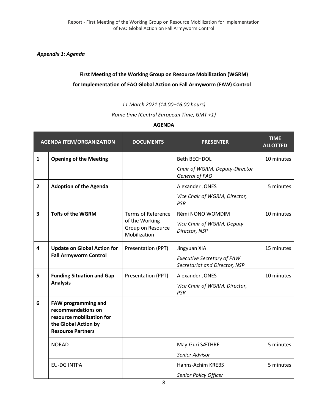<span id="page-7-0"></span>*Appendix 1: Agenda*

## **First Meeting of the Working Group on Resource Mobilization (WGRM) for Implementation of FAO Global Action on Fall Armyworm (FAW) Control**

*11 March 2021 (14.00–16.00 hours)*

*Rome time (Central European Time, GMT +1)*

#### **AGENDA**

| <b>AGENDA ITEM/ORGANIZATION</b> |                                                                                                                                   | <b>DOCUMENTS</b>                                    | <b>PRESENTER</b>                                                   | <b>TIME</b><br><b>ALLOTTED</b> |
|---------------------------------|-----------------------------------------------------------------------------------------------------------------------------------|-----------------------------------------------------|--------------------------------------------------------------------|--------------------------------|
| $\mathbf{1}$                    | <b>Opening of the Meeting</b>                                                                                                     |                                                     | <b>Beth BECHDOL</b>                                                | 10 minutes                     |
|                                 |                                                                                                                                   |                                                     | Chair of WGRM, Deputy-Director<br>General of FAO                   |                                |
| $\overline{2}$                  | <b>Adoption of the Agenda</b>                                                                                                     |                                                     | Alexander JONES                                                    | 5 minutes                      |
|                                 |                                                                                                                                   |                                                     | Vice Chair of WGRM, Director,<br><b>PSR</b>                        |                                |
| 3                               | <b>ToRs of the WGRM</b>                                                                                                           | <b>Terms of Reference</b>                           | Rémi NONO WOMDIM                                                   | 10 minutes                     |
|                                 |                                                                                                                                   | of the Working<br>Group on Resource<br>Mobilization | Vice Chair of WGRM, Deputy<br>Director, NSP                        |                                |
| 4                               | <b>Update on Global Action for</b>                                                                                                | Presentation (PPT)                                  | Jingyuan XIA                                                       | 15 minutes                     |
|                                 | <b>Fall Armyworm Control</b>                                                                                                      |                                                     | <b>Executive Secretary of FAW</b><br>Secretariat and Director, NSP |                                |
| 5                               | <b>Funding Situation and Gap</b>                                                                                                  | Presentation (PPT)                                  | Alexander JONES                                                    | 10 minutes                     |
| <b>Analysis</b>                 |                                                                                                                                   |                                                     | Vice Chair of WGRM, Director,<br><b>PSR</b>                        |                                |
| 6                               | <b>FAW programming and</b><br>recommendations on<br>resource mobilization for<br>the Global Action by<br><b>Resource Partners</b> |                                                     |                                                                    |                                |
|                                 | <b>NORAD</b>                                                                                                                      |                                                     | May-Guri SÆTHRE                                                    | 5 minutes                      |
|                                 |                                                                                                                                   |                                                     | Senior Advisor                                                     |                                |
|                                 | <b>EU-DG INTPA</b>                                                                                                                |                                                     | Hanns-Achim KREBS                                                  | 5 minutes                      |
|                                 |                                                                                                                                   |                                                     | Senior Policy Officer                                              |                                |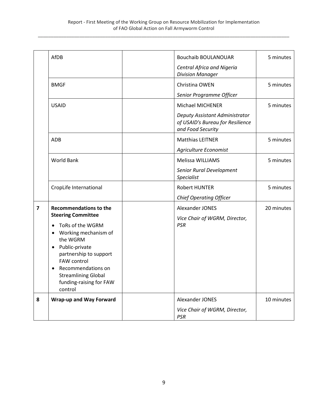|                         | AfDB                                                               | <b>Bouchaib BOULANOUAR</b>                                                              | 5 minutes  |
|-------------------------|--------------------------------------------------------------------|-----------------------------------------------------------------------------------------|------------|
|                         |                                                                    | <b>Central Africa and Nigeria</b><br><b>Division Manager</b>                            |            |
|                         | <b>BMGF</b>                                                        | Christina OWEN                                                                          | 5 minutes  |
|                         |                                                                    | Senior Programme Officer                                                                |            |
|                         | <b>USAID</b>                                                       | Michael MICHENER                                                                        | 5 minutes  |
|                         |                                                                    | Deputy Assistant Administrator<br>of USAID's Bureau for Resilience<br>and Food Security |            |
|                         | ADB                                                                | <b>Matthias LEITNER</b>                                                                 | 5 minutes  |
|                         |                                                                    | Agriculture Economist                                                                   |            |
|                         | <b>World Bank</b>                                                  | Melissa WILLIAMS                                                                        | 5 minutes  |
|                         |                                                                    | Senior Rural Development<br>Specialist                                                  |            |
|                         | CropLife International                                             | <b>Robert HUNTER</b>                                                                    | 5 minutes  |
|                         |                                                                    | <b>Chief Operating Officer</b>                                                          |            |
| $\overline{\mathbf{z}}$ | <b>Recommendations to the</b><br><b>Steering Committee</b>         | Alexander JONES<br>Vice Chair of WGRM, Director,                                        | 20 minutes |
|                         | ToRs of the WGRM<br>$\bullet$<br>Working mechanism of<br>$\bullet$ | PSR                                                                                     |            |
|                         | the WGRM                                                           |                                                                                         |            |
|                         | Public-private<br>$\bullet$                                        |                                                                                         |            |
|                         | partnership to support<br><b>FAW control</b>                       |                                                                                         |            |
|                         | Recommendations on<br>$\bullet$                                    |                                                                                         |            |
|                         | <b>Streamlining Global</b><br>funding-raising for FAW              |                                                                                         |            |
|                         | control                                                            |                                                                                         |            |
| 8                       | <b>Wrap-up and Way Forward</b>                                     | Alexander JONES                                                                         | 10 minutes |
|                         |                                                                    | Vice Chair of WGRM, Director,<br><b>PSR</b>                                             |            |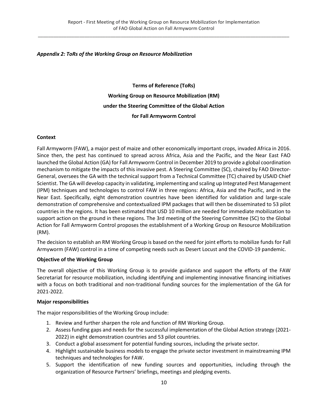#### <span id="page-9-0"></span>*Appendix 2: ToRs of the Working Group on Resource Mobilization*

**Terms of Reference (ToRs) Working Group on Resource Mobilization (RM) under the Steering Committee of the Global Action for Fall Armyworm Control**

#### **Context**

Fall Armyworm (FAW), a major pest of maize and other economically important crops, invaded Africa in 2016. Since then, the pest has continued to spread across Africa, Asia and the Pacific, and the Near East FAO launched the Global Action (GA) for Fall Armyworm Control in December 2019 to provide a global coordination mechanism to mitigate the impacts of this invasive pest. A Steering Committee (SC), chaired by FAO Director-General, oversees the GA with the technical support from a Technical Committee (TC) chaired by USAID Chief Scientist. The GA will develop capacity in validating, implementing and scaling up Integrated Pest Management (IPM) techniques and technologies to control FAW in three regions: Africa, Asia and the Pacific, and in the Near East. Specifically, eight demonstration countries have been identified for validation and large-scale demonstration of comprehensive and contextualized IPM packages that will then be disseminated to 53 pilot countries in the regions. It has been estimated that USD 10 million are needed for immediate mobilization to support action on the ground in these regions. The 3rd meeting of the Steering Committee (SC) to the Global Action for Fall Armyworm Control proposes the establishment of a Working Group on Resource Mobilization (RM).

The decision to establish an RM Working Group is based on the need for joint efforts to mobilize funds for Fall Armyworm (FAW) control in a time of competing needs such as Desert Locust and the COVID-19 pandemic.

#### **Objective of the Working Group**

The overall objective of this Working Group is to provide guidance and support the efforts of the FAW Secretariat for resource mobilization, including identifying and implementing innovative financing initiatives with a focus on both traditional and non-traditional funding sources for the implementation of the GA for 2021-2022.

#### **Major responsibilities**

The major responsibilities of the Working Group include:

- 1. Review and further sharpen the role and function of RM Working Group.
- 2. Assess funding gaps and needs for the successful implementation of the Global Action strategy (2021- 2022) in eight demonstration countries and 53 pilot countries.
- 3. Conduct a global assessment for potential funding sources, including the private sector.
- 4. Highlight sustainable business models to engage the private sector investment in mainstreaming IPM techniques and technologies for FAW.
- 5. Support the identification of new funding sources and opportunities, including through the organization of Resource Partners' briefings, meetings and pledging events.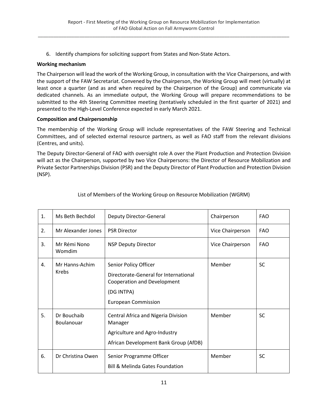6. Identify champions for soliciting support from States and Non-State Actors.

#### **Working mechanism**

The Chairperson will lead the work of the Working Group, in consultation with the Vice Chairpersons, and with the support of the FAW Secretariat. Convened by the Chairperson, the Working Group will meet (virtually) at least once a quarter (and as and when required by the Chairperson of the Group) and communicate via dedicated channels. As an immediate output, the Working Group will prepare recommendations to be submitted to the 4th Steering Committee meeting (tentatively scheduled in the first quarter of 2021) and presented to the High-Level Conference expected in early March 2021.

#### **Composition and Chairpersonship**

The membership of the Working Group will include representatives of the FAW Steering and Technical Committees, and of selected external resource partners, as well as FAO staff from the relevant divisions (Centres, and units).

The Deputy Director-General of FAO with oversight role A over the Plant Production and Protection Division will act as the Chairperson, supported by two Vice Chairpersons: the Director of Resource Mobilization and Private Sector Partnerships Division (PSR) and the Deputy Director of Plant Production and Protection Division (NSP).

| 1.             | Ms Beth Bechdol           | Deputy Director-General                                                                                                                   | Chairperson      | <b>FAO</b> |
|----------------|---------------------------|-------------------------------------------------------------------------------------------------------------------------------------------|------------------|------------|
| 2.             | Mr Alexander Jones        | <b>PSR Director</b>                                                                                                                       | Vice Chairperson | <b>FAO</b> |
| 3.             | Mr Rémi Nono<br>Womdim    | <b>NSP Deputy Director</b>                                                                                                                | Vice Chairperson | <b>FAO</b> |
| $\mathbf{4}$ . | Mr Hanns-Achim<br>Krebs   | Senior Policy Officer<br>Directorate-General for International<br>Cooperation and Development<br>(DG INTPA)<br><b>European Commission</b> | Member           | <b>SC</b>  |
| 5.             | Dr Bouchaib<br>Boulanouar | Central Africa and Nigeria Division<br>Manager<br>Agriculture and Agro-Industry<br>African Development Bank Group (AfDB)                  | Member           | <b>SC</b>  |
| 6.             | Dr Christina Owen         | Senior Programme Officer<br><b>Bill &amp; Melinda Gates Foundation</b>                                                                    | Member           | <b>SC</b>  |

#### List of Members of the Working Group on Resource Mobilization (WGRM)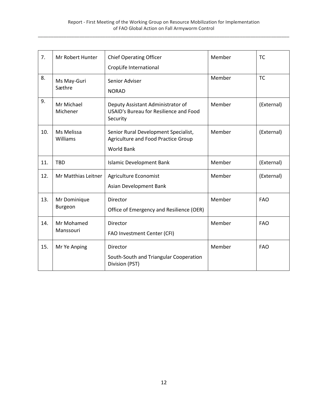| 7.  | Mr Robert Hunter       | <b>Chief Operating Officer</b>                                                          | Member | <b>TC</b>  |
|-----|------------------------|-----------------------------------------------------------------------------------------|--------|------------|
|     |                        | CropLife International                                                                  |        |            |
| 8.  | Ms May-Guri            | Senior Adviser                                                                          | Member | <b>TC</b>  |
|     | Sæthre                 | <b>NORAD</b>                                                                            |        |            |
| 9.  | Mr Michael<br>Michener | Deputy Assistant Administrator of<br>USAID's Bureau for Resilience and Food<br>Security | Member | (External) |
| 10. | Ms Melissa<br>Williams | Senior Rural Development Specialist,<br>Agriculture and Food Practice Group             | Member | (External) |
|     |                        | World Bank                                                                              |        |            |
| 11. | <b>TBD</b>             | <b>Islamic Development Bank</b>                                                         | Member | (External) |
| 12. | Mr Matthias Leitner    | Agriculture Economist                                                                   | Member | (External) |
|     |                        | Asian Development Bank                                                                  |        |            |
| 13. | Mr Dominique           | Director                                                                                | Member | <b>FAO</b> |
|     | Burgeon                | Office of Emergency and Resilience (OER)                                                |        |            |
| 14. | Mr Mohamed             | Director                                                                                | Member | <b>FAO</b> |
|     | Manssouri              | FAO Investment Center (CFI)                                                             |        |            |
| 15. | Mr Ye Anping           | Director                                                                                | Member | <b>FAO</b> |
|     |                        | South-South and Triangular Cooperation<br>Division (PST)                                |        |            |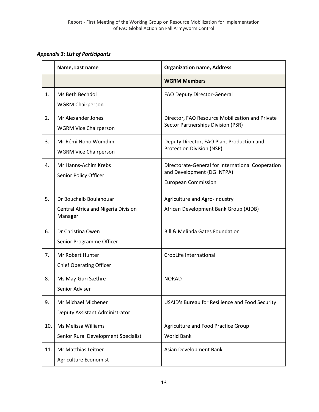<span id="page-12-0"></span>*Appendix 3: List of Participants*

|     | Name, Last name                                                          | <b>Organization name, Address</b>                                                                             |
|-----|--------------------------------------------------------------------------|---------------------------------------------------------------------------------------------------------------|
|     |                                                                          | <b>WGRM Members</b>                                                                                           |
| 1.  | Ms Beth Bechdol<br><b>WGRM Chairperson</b>                               | FAO Deputy Director-General                                                                                   |
| 2.  | Mr Alexander Jones<br><b>WGRM Vice Chairperson</b>                       | Director, FAO Resource Mobilization and Private<br>Sector Partnerships Division (PSR)                         |
| 3.  | Mr Rémi Nono Womdim<br><b>WGRM Vice Chairperson</b>                      | Deputy Director, FAO Plant Production and<br><b>Protection Division (NSP)</b>                                 |
| 4.  | Mr Hanns-Achim Krebs<br>Senior Policy Officer                            | Directorate-General for International Cooperation<br>and Development (DG INTPA)<br><b>European Commission</b> |
| 5.  | Dr Bouchaib Boulanouar<br>Central Africa and Nigeria Division<br>Manager | Agriculture and Agro-Industry<br>African Development Bank Group (AfDB)                                        |
| 6.  | Dr Christina Owen<br>Senior Programme Officer                            | <b>Bill &amp; Melinda Gates Foundation</b>                                                                    |
| 7.  | Mr Robert Hunter<br><b>Chief Operating Officer</b>                       | CropLife International                                                                                        |
| 8.  | Ms May-Guri Sæthre<br>Senior Adviser                                     | <b>NORAD</b>                                                                                                  |
| 9.  | Mr Michael Michener<br>Deputy Assistant Administrator                    | USAID's Bureau for Resilience and Food Security                                                               |
| 10. | <b>Ms Melissa Williams</b><br>Senior Rural Development Specialist        | Agriculture and Food Practice Group<br><b>World Bank</b>                                                      |
| 11. | Mr Matthias Leitner<br>Agriculture Economist                             | Asian Development Bank                                                                                        |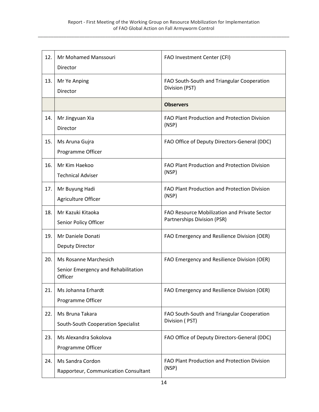| 12. | Mr Mohamed Manssouri<br>Director                                        | FAO Investment Center (CFI)                                                 |
|-----|-------------------------------------------------------------------------|-----------------------------------------------------------------------------|
| 13. | Mr Ye Anping<br>Director                                                | FAO South-South and Triangular Cooperation<br>Division (PST)                |
|     |                                                                         | <b>Observers</b>                                                            |
| 14. | Mr Jingyuan Xia<br>Director                                             | FAO Plant Production and Protection Division<br>(NSP)                       |
| 15. | Ms Aruna Gujra<br>Programme Officer                                     | FAO Office of Deputy Directors-General (DDC)                                |
| 16. | Mr Kim Haekoo<br><b>Technical Adviser</b>                               | FAO Plant Production and Protection Division<br>(NSP)                       |
| 17. | Mr Buyung Hadi<br>Agriculture Officer                                   | FAO Plant Production and Protection Division<br>(NSP)                       |
| 18. | Mr Kazuki Kitaoka<br>Senior Policy Officer                              | FAO Resource Mobilization and Private Sector<br>Partnerships Division (PSR) |
| 19. | Mr Daniele Donati<br>Deputy Director                                    | FAO Emergency and Resilience Division (OER)                                 |
| 20. | Ms Rosanne Marchesich<br>Senior Emergency and Rehabilitation<br>Officer | FAO Emergency and Resilience Division (OER)                                 |
| 21. | Ms Johanna Erhardt<br>Programme Officer                                 | FAO Emergency and Resilience Division (OER)                                 |
| 22. | Ms Bruna Takara<br>South-South Cooperation Specialist                   | FAO South-South and Triangular Cooperation<br>Division (PST)                |
| 23. | Ms Alexandra Sokolova<br>Programme Officer                              | FAO Office of Deputy Directors-General (DDC)                                |
| 24. | Ms Sandra Cordon<br>Rapporteur, Communication Consultant                | FAO Plant Production and Protection Division<br>(NSP)                       |